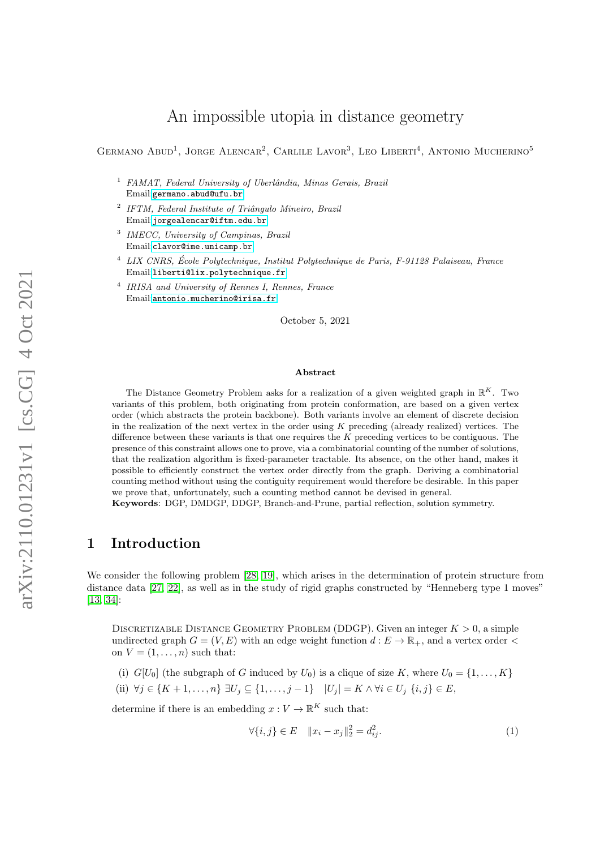# An impossible utopia in distance geometry

GERMANO ABUD<sup>1</sup>, JORGE ALENCAR<sup>2</sup>, CARLILE LAVOR<sup>3</sup>, LEO LIBERTI<sup>4</sup>, ANTONIO MUCHERINO<sup>5</sup>

- $1$  FAMAT, Federal University of Uberlândia, Minas Gerais, Brazil Email:<germano.abud@ufu.br>
- <sup>2</sup> IFTM, Federal Institute of Triângulo Mineiro, Brazil Email:<jorgealencar@iftm.edu.br>
- 3 IMECC, University of Campinas, Brazil Email:<clavor@ime.unicamp.br>
- <sup>4</sup> LIX CNRS, Ecole Polytechnique, Institut Polytechnique de Paris, F-91128 Palaiseau, France ´ Email:<liberti@lix.polytechnique.fr>
- 4 IRISA and University of Rennes I, Rennes, France Email:<antonio.mucherino@irisa.fr>

October 5, 2021

#### Abstract

The Distance Geometry Problem asks for a realization of a given weighted graph in  $\mathbb{R}^K$ . Two variants of this problem, both originating from protein conformation, are based on a given vertex order (which abstracts the protein backbone). Both variants involve an element of discrete decision in the realization of the next vertex in the order using  $K$  preceding (already realized) vertices. The difference between these variants is that one requires the  $K$  preceding vertices to be contiguous. The presence of this constraint allows one to prove, via a combinatorial counting of the number of solutions, that the realization algorithm is fixed-parameter tractable. Its absence, on the other hand, makes it possible to efficiently construct the vertex order directly from the graph. Deriving a combinatorial counting method without using the contiguity requirement would therefore be desirable. In this paper we prove that, unfortunately, such a counting method cannot be devised in general.

Keywords: DGP, DMDGP, DDGP, Branch-and-Prune, partial reflection, solution symmetry.

# 1 Introduction

We consider the following problem [\[28,](#page-10-0) [19\]](#page-9-0), which arises in the determination of protein structure from distance data [\[27,](#page-9-1) [22\]](#page-9-2), as well as in the study of rigid graphs constructed by "Henneberg type 1 moves" [\[13,](#page-9-3) [34\]](#page-10-1):

DISCRETIZABLE DISTANCE GEOMETRY PROBLEM (DDGP). Given an integer  $K > 0$ , a simple undirected graph  $G = (V, E)$  with an edge weight function  $d : E \to \mathbb{R}_+$ , and a vertex order  $\lt$ on  $V = (1, \ldots, n)$  such that:

- (i)  $G[U_0]$  (the subgraph of G induced by  $U_0$ ) is a clique of size K, where  $U_0 = \{1, \ldots, K\}$
- (ii)  $\forall j \in \{K+1, \ldots, n\} \exists U_j \subseteq \{1, \ldots, j-1\} \mid U_j = K \wedge \forall i \in U_j \{i, j\} \in E$

determine if there is an embedding  $x: V \to \mathbb{R}^K$  such that:

<span id="page-0-0"></span>
$$
\forall \{i, j\} \in E \quad \|x_i - x_j\|_2^2 = d_{ij}^2. \tag{1}
$$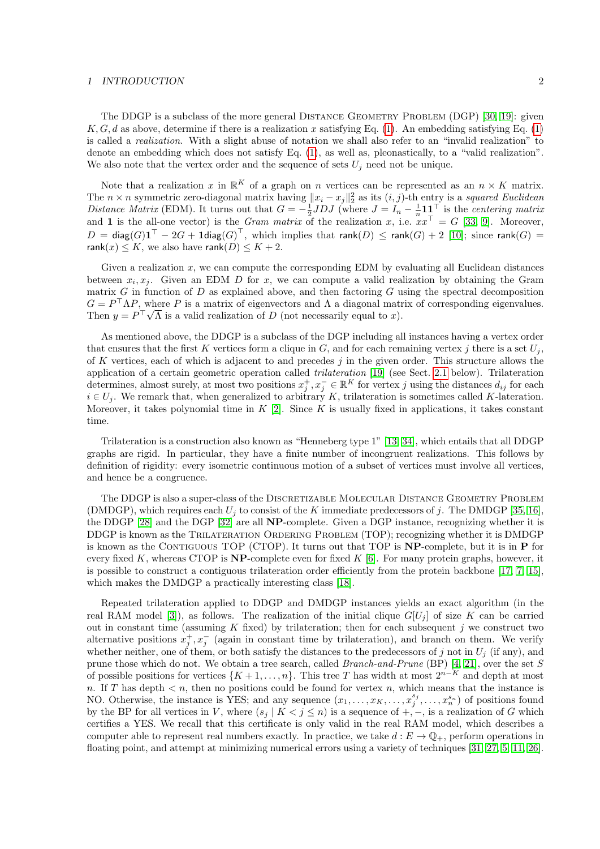#### 1 INTRODUCTION 2

The DDGP is a subclass of the more general DISTANCE GEOMETRY PROBLEM (DGP) [\[30,](#page-10-2) [19\]](#page-9-0): given K, G, d as above, determine if there is a realization x satisfying Eq. [\(1\)](#page-0-0). An embedding satisfying Eq. (1) is called a realization. With a slight abuse of notation we shall also refer to an "invalid realization" to denote an embedding which does not satisfy Eq. [\(1\)](#page-0-0), as well as, pleonastically, to a "valid realization". We also note that the vertex order and the sequence of sets  $U_i$  need not be unique.

Note that a realization x in  $\mathbb{R}^K$  of a graph on n vertices can be represented as an  $n \times K$  matrix. The  $n \times n$  symmetric zero-diagonal matrix having  $||x_i - x_j||_2^2$  as its  $(i, j)$ -th entry is a squared Euclidean Distance Matrix (EDM). It turns out that  $G = -\frac{1}{2}JDJ$  (where  $J = I_n - \frac{1}{n}\mathbf{1}\mathbf{1}^{\top}$  is the centering matrix and 1 is the all-one vector) is the Gram matrix of the realization x, i.e.  $xx^{\top} = G$  [\[33,](#page-10-3) [9\]](#page-9-4). Moreover,  $D\,=\,$  diag $(G) \mathbf{1}^\top\,-\,2G + \mathbf{1}$ diag $(G)^\top, \;$  which implies that  $\mathsf{rank}(D)\,\leq\,\mathsf{rank}(G) + 2\;[10]; \; \text{since } \mathsf{rank}(G)\,=\,$ rank $(x) \leq K$ , we also have rank $(D) \leq K + 2$ .

Given a realization  $x$ , we can compute the corresponding EDM by evaluating all Euclidean distances between  $x_i, x_j$ . Given an EDM D for x, we can compute a valid realization by obtaining the Gram matrix G in function of D as explained above, and then factoring G using the spectral decomposition  $G = P^{\top} \Lambda P$ , where P is a matrix of eigenvectors and  $\Lambda$  a diagonal matrix of corresponding eigenvalues. Then  $y = P^{\top}\sqrt{\Lambda}$  is a valid realization of D (not necessarily equal to x).

As mentioned above, the DDGP is a subclass of the DGP including all instances having a vertex order that ensures that the first K vertices form a clique in  $G$ , and for each remaining vertex j there is a set  $U_i$ , of K vertices, each of which is adjacent to and precedes  $j$  in the given order. This structure allows the application of a certain geometric operation called trilateration [\[19\]](#page-9-0) (see Sect. [2.1](#page-3-0) below). Trilateration determines, almost surely, at most two positions  $x_j^+, x_j^- \in \mathbb{R}^K$  for vertex j using the distances  $d_{ij}$  for each  $i \in U_j$ . We remark that, when generalized to arbitrary K, trilateration is sometimes called K-lateration. Moreover, it takes polynomial time in  $K$  [\[2\]](#page-8-0). Since K is usually fixed in applications, it takes constant time.

Trilateration is a construction also known as "Henneberg type 1" [\[13,](#page-9-3) [34\]](#page-10-1), which entails that all DDGP graphs are rigid. In particular, they have a finite number of incongruent realizations. This follows by definition of rigidity: every isometric continuous motion of a subset of vertices must involve all vertices, and hence be a congruence.

The DDGP is also a super-class of the DISCRETIZABLE MOLECULAR DISTANCE GEOMETRY PROBLEM (DMDGP), which requires each  $U_j$  to consist of the K immediate predecessors of j. The DMDGP [\[35,](#page-10-4) [16\]](#page-9-6), the DDGP [\[28\]](#page-10-0) and the DGP [\[32\]](#page-10-5) are all NP-complete. Given a DGP instance, recognizing whether it is DDGP is known as the TRILATERATION ORDERING PROBLEM (TOP); recognizing whether it is DMDGP is known as the CONTIGUOUS TOP (CTOP). It turns out that TOP is  $NP$ -complete, but it is in  $P$  for every fixed K, whereas CTOP is  $NP$ -complete even for fixed K [\[6\]](#page-8-1). For many protein graphs, however, it is possible to construct a contiguous trilateration order efficiently from the protein backbone [\[17,](#page-9-7) [7,](#page-8-2) [15\]](#page-9-8), which makes the DMDGP a practically interesting class [\[18\]](#page-9-9).

Repeated trilateration applied to DDGP and DMDGP instances yields an exact algorithm (in the real RAM model [\[3\]](#page-8-3)), as follows. The realization of the initial clique  $G[U_j]$  of size K can be carried out in constant time (assuming K fixed) by trilateration; then for each subsequent j we construct two alternative positions  $x_j^+, x_j^-$  (again in constant time by trilateration), and branch on them. We verify whether neither, one of them, or both satisfy the distances to the predecessors of j not in  $U_j$  (if any), and prune those which do not. We obtain a tree search, called Branch-and-Prune (BP) [\[4,](#page-8-4) [21\]](#page-9-10), over the set S of possible positions for vertices  $\{K+1,\ldots,n\}$ . This tree T has width at most  $2^{n-K}$  and depth at most n. If T has depth  $\lt n$ , then no positions could be found for vertex n, which means that the instance is NO. Otherwise, the instance is YES; and any sequence  $(x_1, \ldots, x_K, \ldots, x_j^{s_j}, \ldots, x_n^{s_n})$  of positions found by the BP for all vertices in V, where  $(s_j | K < j \leq n)$  is a sequence of  $+, -$ , is a realization of G which certifies a YES. We recall that this certificate is only valid in the real RAM model, which describes a computer able to represent real numbers exactly. In practice, we take  $d : E \to \mathbb{Q}_+$ , perform operations in floating point, and attempt at minimizing numerical errors using a variety of techniques [\[31,](#page-10-6) [27,](#page-9-1) [5,](#page-8-5) [11,](#page-9-11) [26\]](#page-9-12).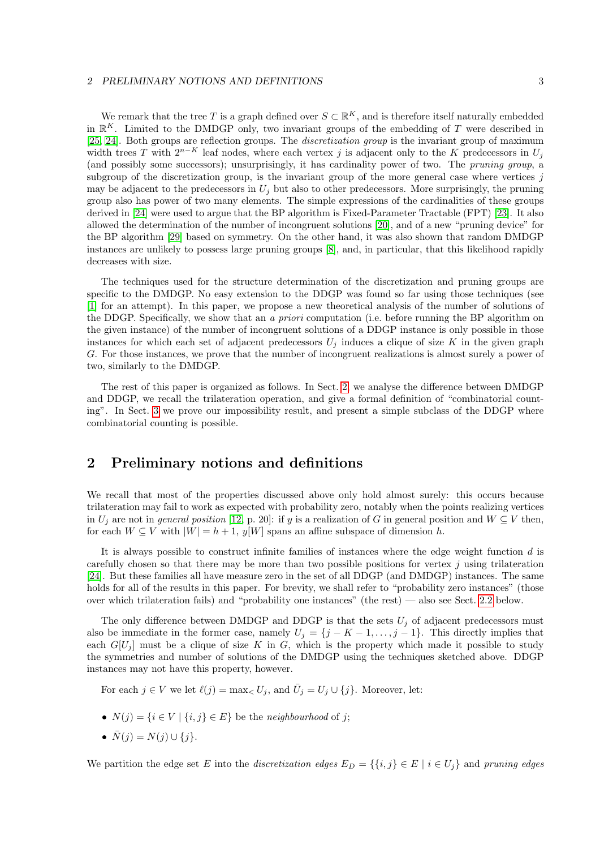#### 2 PRELIMINARY NOTIONS AND DEFINITIONS 3

We remark that the tree T is a graph defined over  $S \subset \mathbb{R}^K$ , and is therefore itself naturally embedded in  $\mathbb{R}^K$ . Limited to the DMDGP only, two invariant groups of the embedding of T were described in [\[25,](#page-9-13) [24\]](#page-9-14). Both groups are reflection groups. The discretization group is the invariant group of maximum width trees T with  $2^{n-K}$  leaf nodes, where each vertex j is adjacent only to the K predecessors in  $U_i$ (and possibly some successors); unsurprisingly, it has cardinality power of two. The pruning group, a subgroup of the discretization group, is the invariant group of the more general case where vertices  $j$ may be adjacent to the predecessors in  $U_i$  but also to other predecessors. More surprisingly, the pruning group also has power of two many elements. The simple expressions of the cardinalities of these groups derived in [\[24\]](#page-9-14) were used to argue that the BP algorithm is Fixed-Parameter Tractable (FPT) [\[23\]](#page-9-15). It also allowed the determination of the number of incongruent solutions [\[20\]](#page-9-16), and of a new "pruning device" for the BP algorithm [\[29\]](#page-10-7) based on symmetry. On the other hand, it was also shown that random DMDGP instances are unlikely to possess large pruning groups [\[8\]](#page-9-17), and, in particular, that this likelihood rapidly decreases with size.

The techniques used for the structure determination of the discretization and pruning groups are specific to the DMDGP. No easy extension to the DDGP was found so far using those techniques (see [\[1\]](#page-8-6) for an attempt). In this paper, we propose a new theoretical analysis of the number of solutions of the DDGP. Specifically, we show that an a priori computation (i.e. before running the BP algorithm on the given instance) of the number of incongruent solutions of a DDGP instance is only possible in those instances for which each set of adjacent predecessors  $U_j$  induces a clique of size K in the given graph G. For those instances, we prove that the number of incongruent realizations is almost surely a power of two, similarly to the DMDGP.

The rest of this paper is organized as follows. In Sect. [2,](#page-2-0) we analyse the difference between DMDGP and DDGP, we recall the trilateration operation, and give a formal definition of "combinatorial counting". In Sect. [3](#page-5-0) we prove our impossibility result, and present a simple subclass of the DDGP where combinatorial counting is possible.

# <span id="page-2-0"></span>2 Preliminary notions and definitions

We recall that most of the properties discussed above only hold almost surely: this occurs because trilateration may fail to work as expected with probability zero, notably when the points realizing vertices in  $U_i$  are not in *general position* [\[12,](#page-9-18) p. 20]: if y is a realization of G in general position and  $W \subseteq V$  then, for each  $W \subseteq V$  with  $|W| = h + 1$ ,  $y[W]$  spans an affine subspace of dimension h.

It is always possible to construct infinite families of instances where the edge weight function d is carefully chosen so that there may be more than two possible positions for vertex  $j$  using trilateration [\[24\]](#page-9-14). But these families all have measure zero in the set of all DDGP (and DMDGP) instances. The same holds for all of the results in this paper. For brevity, we shall refer to "probability zero instances" (those over which trilateration fails) and "probability one instances" (the rest) — also see Sect. [2.2](#page-3-1) below.

The only difference between DMDGP and DDGP is that the sets  $U_j$  of adjacent predecessors must also be immediate in the former case, namely  $U_j = \{j - K - 1, \ldots, j - 1\}$ . This directly implies that each  $G[U_j]$  must be a clique of size K in G, which is the property which made it possible to study the symmetries and number of solutions of the DMDGP using the techniques sketched above. DDGP instances may not have this property, however.

For each  $j \in V$  we let  $\ell(j) = \max_{i \in V} U_j$ , and  $\overline{U}_j = U_j \cup \{j\}$ . Moreover, let:

- $N(j) = \{i \in V \mid \{i, j\} \in E\}$  be the neighbourhood of j;
- $\bar{N}(j) = N(j) \cup \{j\}.$

We partition the edge set E into the discretization edges  $E_D = \{ \{i, j \} \in E \mid i \in U_j \}$  and pruning edges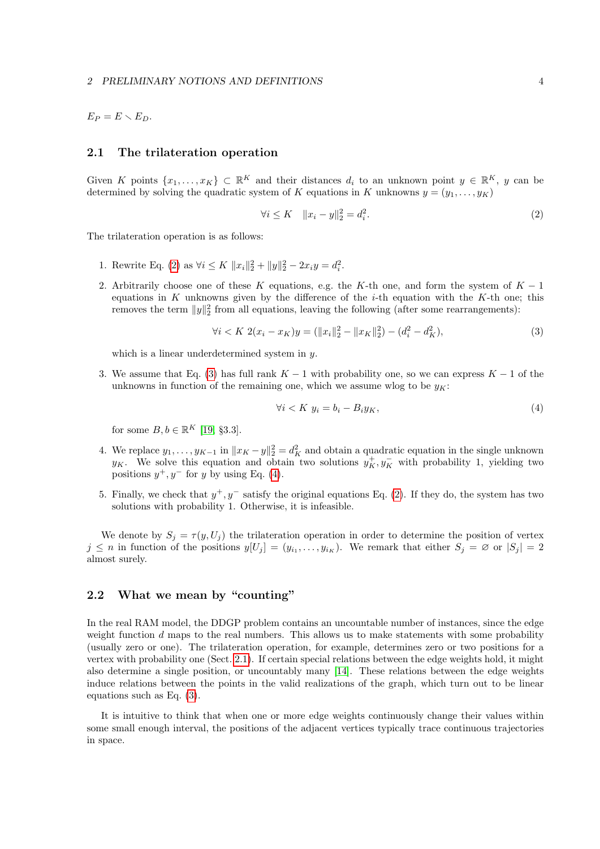$E_P = E \setminus E_D.$ 

### <span id="page-3-0"></span>2.1 The trilateration operation

Given K points  $\{x_1,\ldots,x_K\} \subset \mathbb{R}^K$  and their distances  $d_i$  to an unknown point  $y \in \mathbb{R}^K$ , y can be determined by solving the quadratic system of K equations in K unknowns  $y = (y_1, \ldots, y_K)$ 

<span id="page-3-2"></span>
$$
\forall i \le K \quad \|x_i - y\|_2^2 = d_i^2. \tag{2}
$$

The trilateration operation is as follows:

- 1. Rewrite Eq. [\(2\)](#page-3-2) as  $\forall i \leq K \ \|x_i\|_2^2 + \|y\|_2^2 2x_iy = d_i^2$ .
- 2. Arbitrarily choose one of these K equations, e.g. the K-th one, and form the system of  $K 1$ equations in K unknowns given by the difference of the  $i$ -th equation with the K-th one; this removes the term  $||y||_2^2$  from all equations, leaving the following (after some rearrangements):

<span id="page-3-3"></span>
$$
\forall i < K \ 2(x_i - x_K)y = (\|x_i\|_2^2 - \|x_K\|_2^2) - (d_i^2 - d_K^2),\tag{3}
$$

which is a linear underdetermined system in  $y$ .

3. We assume that Eq. [\(3\)](#page-3-3) has full rank  $K-1$  with probability one, so we can express  $K-1$  of the unknowns in function of the remaining one, which we assume wlog to be  $y_K$ :

<span id="page-3-4"></span>
$$
\forall i < K \ y_i = b_i - B_i y_K,\tag{4}
$$

for some  $B, b \in \mathbb{R}^K$  [\[19,](#page-9-0) §3.3].

- 4. We replace  $y_1, \ldots, y_{K-1}$  in  $||x_K y||_2^2 = d_K^2$  and obtain a quadratic equation in the single unknown y<sub>K</sub>. We solve this equation and obtain two solutions  $y_K^+, y_K^-$  with probability 1, yielding two positions  $y^+, y^-$  for y by using Eq. [\(4\)](#page-3-4).
- 5. Finally, we check that  $y^+, y^-$  satisfy the original equations Eq. [\(2\)](#page-3-2). If they do, the system has two solutions with probability 1. Otherwise, it is infeasible.

We denote by  $S_j = \tau(y, U_j)$  the trilateration operation in order to determine the position of vertex  $j \leq n$  in function of the positions  $y[U_j] = (y_{i_1}, \ldots, y_{i_K})$ . We remark that either  $S_j = \emptyset$  or  $|S_j| = 2$ almost surely.

## <span id="page-3-1"></span>2.2 What we mean by "counting"

In the real RAM model, the DDGP problem contains an uncountable number of instances, since the edge weight function  $d$  maps to the real numbers. This allows us to make statements with some probability (usually zero or one). The trilateration operation, for example, determines zero or two positions for a vertex with probability one (Sect. [2.1\)](#page-3-0). If certain special relations between the edge weights hold, it might also determine a single position, or uncountably many [\[14\]](#page-9-19). These relations between the edge weights induce relations between the points in the valid realizations of the graph, which turn out to be linear equations such as Eq. [\(3\)](#page-3-3).

<span id="page-3-5"></span>It is intuitive to think that when one or more edge weights continuously change their values within some small enough interval, the positions of the adjacent vertices typically trace continuous trajectories in space.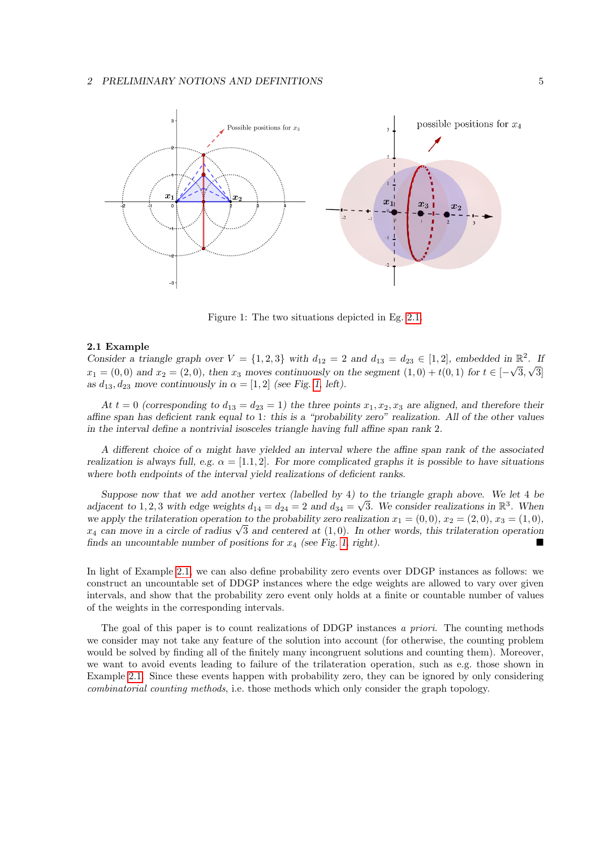#### 2 PRELIMINARY NOTIONS AND DEFINITIONS 5



<span id="page-4-0"></span>Figure 1: The two situations depicted in Eg. [2.1.](#page-3-5)

#### 2.1 Example

Consider a triangle graph over  $V = \{1, 2, 3\}$  with  $d_{12} = 2$  and  $d_{13} = d_{23} \in [1, 2]$ , embedded in  $\mathbb{R}^2$ . If  $x_1 = (0,0)$  and  $x_2 = (2,0)$ , then  $x_3$  moves continuously on the segment  $(1,0) + t(0,1)$  for  $t \in [-\sqrt{3}, \sqrt{3}]$ as  $d_{13}$ ,  $d_{23}$  move continuously in  $\alpha = [1, 2]$  (see Fig. [1,](#page-4-0) left).

At  $t = 0$  (corresponding to  $d_{13} = d_{23} = 1$ ) the three points  $x_1, x_2, x_3$  are aligned, and therefore their affine span has deficient rank equal to 1: this is a "probability zero" realization. All of the other values in the interval define a nontrivial isosceles triangle having full affine span rank 2.

A different choice of  $\alpha$  might have yielded an interval where the affine span rank of the associated realization is always full, e.g.  $\alpha = [1, 1, 2]$ . For more complicated graphs it is possible to have situations where both endpoints of the interval yield realizations of deficient ranks.

Suppose now that we add another vertex (labelled by 4) to the triangle graph above. We let 4 be adjacent to 1, 2, 3 with edge weights  $d_{14} = d_{24} = 2$  and  $d_{34} = \sqrt{3}$ . We consider realizations in  $\mathbb{R}^3$ . When we apply the trilateration operation to the probability zero realization  $x_1 = (0,0), x_2 = (2,0), x_3 = (1,0),$ we apply the trilateration operation to the probability zero realization  $x_1 = (0,0)$ ,  $x_2 = (2,0)$ ,  $x_3 = (1,0)$ ,  $x_4$  can move in a circle of radius  $\sqrt{3}$  and centered at  $(1,0)$ . In other words, this trilateration oper finds an uncountable number of positions for  $x_4$  (see Fig. [1,](#page-4-0) right).

In light of Example [2.1,](#page-3-5) we can also define probability zero events over DDGP instances as follows: we construct an uncountable set of DDGP instances where the edge weights are allowed to vary over given intervals, and show that the probability zero event only holds at a finite or countable number of values of the weights in the corresponding intervals.

The goal of this paper is to count realizations of DDGP instances a priori. The counting methods we consider may not take any feature of the solution into account (for otherwise, the counting problem would be solved by finding all of the finitely many incongruent solutions and counting them). Moreover, we want to avoid events leading to failure of the trilateration operation, such as e.g. those shown in Example [2.1.](#page-3-5) Since these events happen with probability zero, they can be ignored by only considering combinatorial counting methods, i.e. those methods which only consider the graph topology.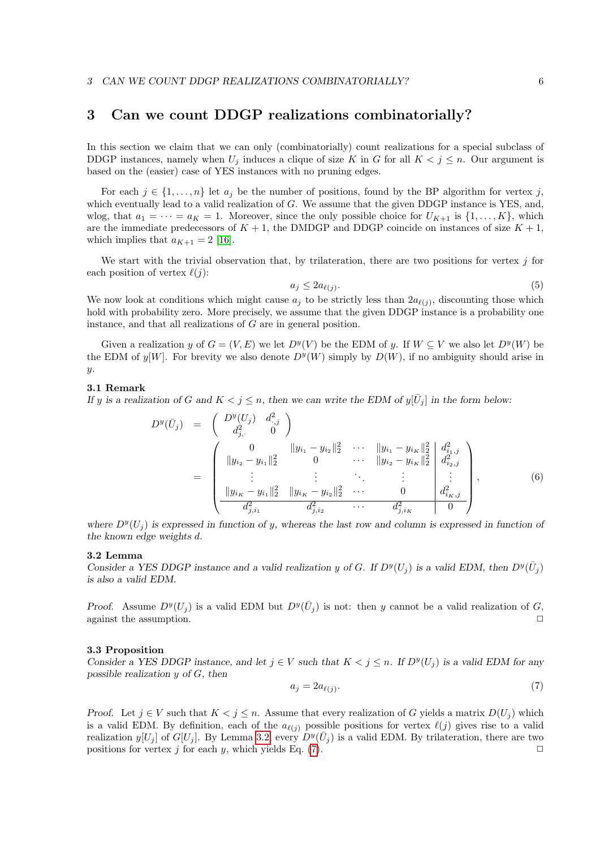## <span id="page-5-0"></span>3 Can we count DDGP realizations combinatorially?

In this section we claim that we can only (combinatorially) count realizations for a special subclass of DDGP instances, namely when  $U_j$  induces a clique of size K in G for all  $K < j \leq n$ . Our argument is based on the (easier) case of YES instances with no pruning edges.

For each  $j \in \{1, \ldots, n\}$  let  $a_j$  be the number of positions, found by the BP algorithm for vertex j, which eventually lead to a valid realization of G. We assume that the given DDGP instance is YES, and, wlog, that  $a_1 = \cdots = a_K = 1$ . Moreover, since the only possible choice for  $U_{K+1}$  is  $\{1, \ldots, K\}$ , which are the immediate predecessors of  $K + 1$ , the DMDGP and DDGP coincide on instances of size  $K + 1$ , which implies that  $a_{K+1} = 2$  [\[16\]](#page-9-6).

We start with the trivial observation that, by trilateration, there are two positions for vertex  $j$  for each position of vertex  $\ell(j)$ :

$$
a_j \le 2a_{\ell(j)}.\tag{5}
$$

We now look at conditions which might cause  $a_j$  to be strictly less than  $2a_{\ell(j)}$ , discounting those which hold with probability zero. More precisely, we assume that the given DDGP instance is a probability one instance, and that all realizations of G are in general position.

Given a realization y of  $G = (V, E)$  we let  $D^y(V)$  be the EDM of y. If  $W \subseteq V$  we also let  $D^y(W)$  be the EDM of  $y[W]$ . For brevity we also denote  $D^y(W)$  simply by  $D(W)$ , if no ambiguity should arise in y.

#### 3.1 Remark

If y is a realization of G and  $K < j \leq n$ , then we can write the EDM of  $y[\bar{U}_j]$  in the form below:

$$
D^{y}(\bar{U}_{j}) = \begin{pmatrix} D^{y}(U_{j}) & d^{2}_{\cdot,j} \\ d^{2}_{j,\cdot} & 0 \end{pmatrix}
$$
  
\n
$$
= \begin{pmatrix} 0 & ||y_{i_{1}} - y_{i_{2}}||_{2}^{2} & \cdots & ||y_{i_{1}} - y_{i_{K}}||_{2}^{2} & d^{2}_{i_{1},j} \\ ||y_{i_{2}} - y_{i_{1}}||_{2}^{2} & 0 & \cdots & ||y_{i_{2}} - y_{i_{K}}||_{2}^{2} & d^{2}_{i_{2},j} \\ \vdots & \vdots & \ddots & \vdots & \vdots \\ ||y_{i_{K}} - y_{i_{1}}||_{2}^{2} & ||y_{i_{K}} - y_{i_{2}}||_{2}^{2} & \cdots & 0 & d^{2}_{i_{K},j} \\ \frac{d^{2}_{j,i_{1}}}{d^{2}_{j,i_{1}}} & \frac{d^{2}_{j,i_{2}}}{d^{2}_{j,i_{2}}} & \cdots & \frac{d^{2}_{j,i_{K}}}{d^{2}_{j,i_{K}}} & 0 \end{pmatrix},
$$
\n(6)

where  $D^y(U_j)$  is expressed in function of y, whereas the last row and column is expressed in function of the known edge weights d.

#### <span id="page-5-1"></span>3.2 Lemma

Consider a YES DDGP instance and a valid realization y of G. If  $D^y(U_j)$  is a valid EDM, then  $D^y(\bar{U}_j)$ is also a valid EDM.

Proof. Assume  $D^y(U_j)$  is a valid EDM but  $D^y(\bar{U}_j)$  is not: then y cannot be a valid realization of G, against the assumption.  $\Box$ 

#### <span id="page-5-3"></span>3.3 Proposition

Consider a YES DDGP instance, and let  $j \in V$  such that  $K < j \leq n$ . If  $D^{y}(U_{j})$  is a valid EDM for any possible realization  $y$  of  $G$ , then

<span id="page-5-2"></span>
$$
a_j = 2a_{\ell(j)}.\tag{7}
$$

Proof. Let  $j \in V$  such that  $K < j \leq n$ . Assume that every realization of G yields a matrix  $D(U_j)$  which is a valid EDM. By definition, each of the  $a_{\ell(j)}$  possible positions for vertex  $\ell(j)$  gives rise to a valid realization  $y[U_j]$  of  $G[U_j]$ . By Lemma [3.2,](#page-5-1) every  $D^y(\bar{U}_j)$  is a valid EDM. By trilateration, there are two positions for vertex j for each y, which yields Eq. [\(7\)](#page-5-2).  $\Box$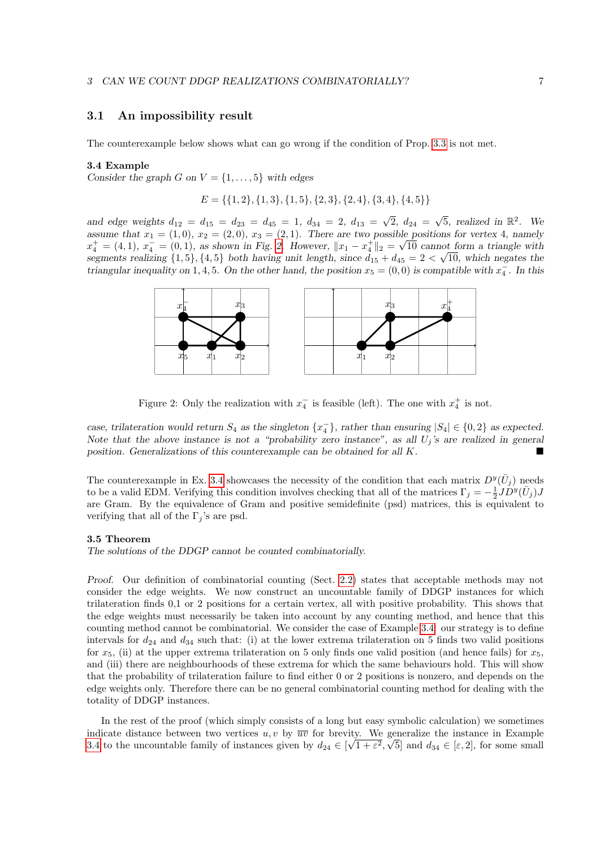### 3.1 An impossibility result

The counterexample below shows what can go wrong if the condition of Prop. [3.3](#page-5-3) is not met.

#### 3.4 Example

Consider the graph G on  $V = \{1, \ldots, 5\}$  with edges

<span id="page-6-1"></span>
$$
E = \{\{1, 2\}, \{1, 3\}, \{1, 5\}, \{2, 3\}, \{2, 4\}, \{3, 4\}, \{4, 5\}\}\
$$

and edge weights  $d_{12} = d_{15} = d_{23} = d_{45} = 1, d_{34} = 2, d_{13} =$ √  $2, d_{24} =$  $\sqrt{5}$ , realized in  $\mathbb{R}^2$ . We assume that  $x_1 = (1,0), x_2 = (2,0), x_3 = (2,1)$ . There are two possible positions for vertex 4, namely  $x_4^+ = (4, 1), x_4^- = (0, 1),$  as shown in Fig. [2.](#page-6-0) However,  $||x_1 - x_4^+||_2 = \sqrt{10}$  cannot form a triangle with segments realizing  $\{1, 5\}$ ,  $\{4, 5\}$  both having unit length, since  $d_{15} + d_{45} = 2 < \sqrt{10}$ , which negates the triangular inequality on 1, 4, 5. On the other hand, the position  $x_5 = (0,0)$  is compatible with  $x_4^-$ . In this



<span id="page-6-0"></span>Figure 2: Only the realization with  $x_4^-$  is feasible (left). The one with  $x_4^+$  is not.

case, trilateration would return  $S_4$  as the singleton  $\{x_4^-\}$ , rather than ensuring  $|S_4| \in \{0,2\}$  as expected. Note that the above instance is not a "probability zero instance", as all  $U_j$ 's are realized in general position. Generalizations of this counterexample can be obtained for all K.

The counterexample in Ex. [3.4](#page-6-1) showcases the necessity of the condition that each matrix  $D^y(\bar{U}_j)$  needs to be a valid EDM. Verifying this condition involves checking that all of the matrices  $\Gamma_j = -\frac{1}{2}JD^y(\bar{U}_j)J$ are Gram. By the equivalence of Gram and positive semidefinite (psd) matrices, this is equivalent to verifying that all of the  $\Gamma_i$ 's are psd.

#### <span id="page-6-2"></span>3.5 Theorem

The solutions of the DDGP cannot be counted combinatorially.

Proof. Our definition of combinatorial counting (Sect. [2.2\)](#page-3-1) states that acceptable methods may not consider the edge weights. We now construct an uncountable family of DDGP instances for which trilateration finds 0,1 or 2 positions for a certain vertex, all with positive probability. This shows that the edge weights must necessarily be taken into account by any counting method, and hence that this counting method cannot be combinatorial. We consider the case of Example [3.4:](#page-6-1) our strategy is to define intervals for  $d_{24}$  and  $d_{34}$  such that: (i) at the lower extrema trilateration on 5 finds two valid positions for  $x_5$ , (ii) at the upper extrema trilateration on 5 only finds one valid position (and hence fails) for  $x_5$ , and (iii) there are neighbourhoods of these extrema for which the same behaviours hold. This will show that the probability of trilateration failure to find either 0 or 2 positions is nonzero, and depends on the edge weights only. Therefore there can be no general combinatorial counting method for dealing with the totality of DDGP instances.

In the rest of the proof (which simply consists of a long but easy symbolic calculation) we sometimes indicate distance between two vertices  $u, v$  by  $\overline{uv}$  for brevity. We generalize the instance in Example [3.4](#page-6-1) to the uncountable family of instances given by  $d_{24} \in [\sqrt{1+\varepsilon^2}, \sqrt{5}]$  and  $d_{34} \in [\varepsilon, 2]$ , for some small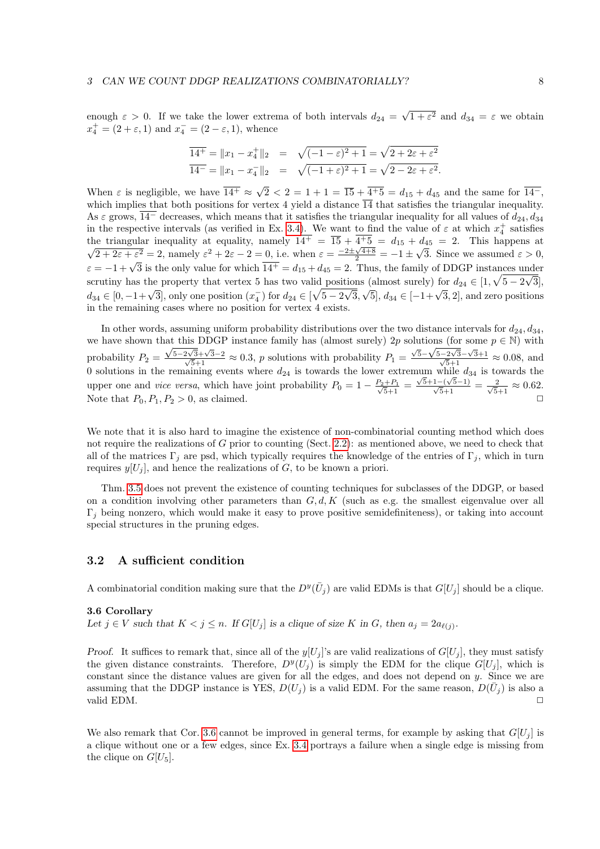enough  $\varepsilon > 0$ . If we take the lower extrema of both intervals  $d_{24} =$ √  $1 + \varepsilon^2$  and  $d_{34} = \varepsilon$  we obtain  $x_4^+ = (2 + \varepsilon, 1)$  and  $x_4^- = (2 - \varepsilon, 1)$ , whence

$$
\overline{14^+} = \|x_1 - x_4^+\|_2 = \sqrt{(-1 - \varepsilon)^2 + 1} = \sqrt{2 + 2\varepsilon + \varepsilon^2}
$$
  

$$
\overline{14^-} = \|x_1 - x_4^-\|_2 = \sqrt{(-1 + \varepsilon)^2 + 1} = \sqrt{2 - 2\varepsilon + \varepsilon^2}.
$$

When  $\varepsilon$  is negligible, we have  $\overline{14^+} \approx \sqrt{2} < 2 = 1 + 1 = \overline{15} + \overline{4^+5} = d_{15} + d_{45}$  and the same for  $\overline{14^-}$ , which implies that both positions for vertex 4 yield a distance  $\overline{14}$  that satisfies the triangular inequality. As  $\varepsilon$  grows,  $\overline{14}^-$  decreases, which means that it satisfies the triangular inequality for all values of  $d_{24}$ ,  $d_{34}$ in the respective intervals (as verified in Ex. [3.4\)](#page-6-1). We want to find the value of  $\varepsilon$  at which  $x_4^+$  satisfies the triangular inequality at equality, namely  $14^+ = \overline{15} + 4^+5 = d_{15} + d_{45} = 2$ . This happens at  $\frac{2 + 2\varepsilon + \varepsilon^2}{2} = 2$ , namely  $\varepsilon^2 + 2\varepsilon - 2 = 0$ , i.e. when  $\varepsilon = \frac{-2 \pm \sqrt{4 + 8}}{2} = -1 \pm \sqrt{4 + 8}$ √ 3. Since we assumed  $\varepsilon > 0$ ,  $\varepsilon = -1 + \sqrt{3}$  is the only value for which  $\overline{14^+} = d_{15} + d_{45} = 2$ . Thus, the family of DDGP instances under  $\varepsilon > 0$ , scrutiny has the property that vertex 5 has two valid positions (almost surely) for  $d_{24} \in [1, \sqrt{5-2\sqrt{3}}]$ ,  $d_{34} \in [0, -1+\sqrt{3}]$ , only one position  $(x_4^-)$  for  $d_{24} \in [\sqrt{5-2}]$ √ 3,  $\sqrt{5}$ ,  $d_{34} \in [-1+\sqrt{3}, 2]$ , and zero positions in the remaining cases where no position for vertex 4 exists.

In other words, assuming uniform probability distributions over the two distance intervals for  $d_{24}$ ,  $d_{34}$ , we have shown that this DDGP instance family has (almost surely) 2p solutions (for some  $p \in \mathbb{N}$ ) with probability  $P_2 =$ at this DDGP instance iamily has (almost surely)  $2p \times \frac{\sqrt{5-2\sqrt{3}}+\sqrt{3}-2}{\sqrt{5}+1} \approx 0.3$ , p solutions with probability  $P_1 =$  $\frac{\sqrt{5}-\sqrt{5}-2\sqrt{3}}{\sqrt{5}+1}$  ≈ 0.08, and 0 solutions in the remaining events where  $d_{24}$  is towards the lower extremum while  $d_{34}$  is towards the upper one and *vice versa*, which have joint probability  $P_0 = 1 - \frac{P_2 + P_1}{\sqrt{5}+1}$  $\frac{\sqrt{5}+1-(\sqrt{5}-1)}{\sqrt{5}+1} = \frac{2}{\sqrt{5}+1} \approx 0.62.$ Note that  $P_0, P_1, P_2 > 0$ , as claimed.

We note that it is also hard to imagine the existence of non-combinatorial counting method which does not require the realizations of G prior to counting (Sect. [2.2\)](#page-3-1): as mentioned above, we need to check that all of the matrices  $\Gamma_j$  are psd, which typically requires the knowledge of the entries of  $\Gamma_j$ , which in turn requires  $y[U_j]$ , and hence the realizations of G, to be known a priori.

Thm. [3.5](#page-6-2) does not prevent the existence of counting techniques for subclasses of the DDGP, or based on a condition involving other parameters than  $G, d, K$  (such as e.g. the smallest eigenvalue over all  $\Gamma_i$  being nonzero, which would make it easy to prove positive semidefiniteness), or taking into account special structures in the pruning edges.

## 3.2 A sufficient condition

<span id="page-7-0"></span>A combinatorial condition making sure that the  $D^y(\bar{U}_j)$  are valid EDMs is that  $G[U_j]$  should be a clique.

#### 3.6 Corollary

Let  $j \in V$  such that  $K < j \leq n$ . If  $G[U_j]$  is a clique of size K in G, then  $a_j = 2a_{\ell(j)}$ .

Proof. It suffices to remark that, since all of the  $y[U_i]$ 's are valid realizations of  $G[U_i]$ , they must satisfy the given distance constraints. Therefore,  $D^{y}(U_j)$  is simply the EDM for the clique  $G[U_j]$ , which is constant since the distance values are given for all the edges, and does not depend on y. Since we are assuming that the DDGP instance is YES,  $D(U_j)$  is a valid EDM. For the same reason,  $D(\bar{U}_j)$  is also a valid EDM.  $\Box$ 

We also remark that Cor. [3.6](#page-7-0) cannot be improved in general terms, for example by asking that  $G[U_i]$  is a clique without one or a few edges, since Ex. [3.4](#page-6-1) portrays a failure when a single edge is missing from the clique on  $G[U_5]$ .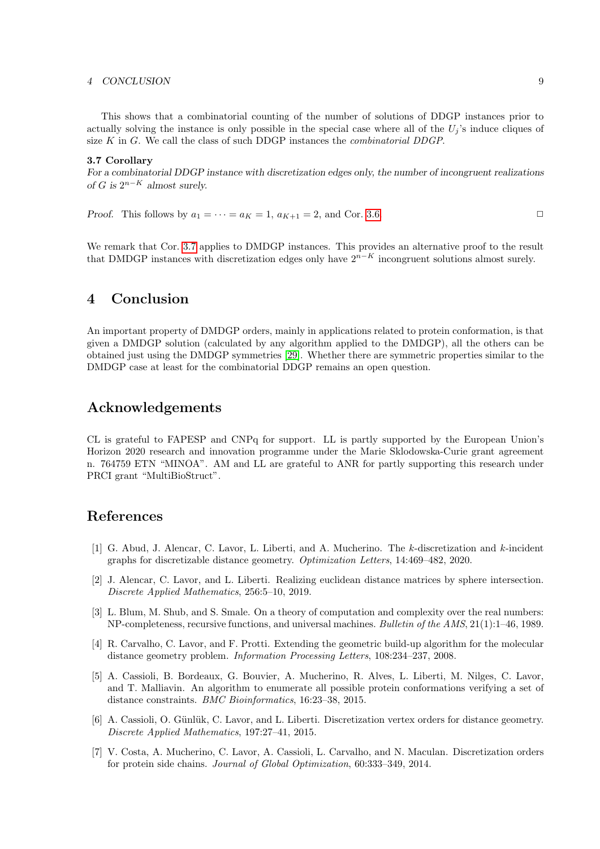#### 4 CONCLUSION 9

<span id="page-8-7"></span>This shows that a combinatorial counting of the number of solutions of DDGP instances prior to actually solving the instance is only possible in the special case where all of the  $U_i$ 's induce cliques of size  $K$  in  $G$ . We call the class of such DDGP instances the *combinatorial DDGP*.

#### 3.7 Corollary

For a combinatorial DDGP instance with discretization edges only, the number of incongruent realizations of G is  $2^{n-K}$  almost surely.

*Proof.* This follows by  $a_1 = \cdots = a_K = 1$ ,  $a_{K+1} = 2$ , and Cor. [3.6.](#page-7-0)

We remark that Cor. [3.7](#page-8-7) applies to DMDGP instances. This provides an alternative proof to the result that DMDGP instances with discretization edges only have  $2^{n-K}$  incongruent solutions almost surely.

# 4 Conclusion

An important property of DMDGP orders, mainly in applications related to protein conformation, is that given a DMDGP solution (calculated by any algorithm applied to the DMDGP), all the others can be obtained just using the DMDGP symmetries [\[29\]](#page-10-7). Whether there are symmetric properties similar to the DMDGP case at least for the combinatorial DDGP remains an open question.

# Acknowledgements

CL is grateful to FAPESP and CNPq for support. LL is partly supported by the European Union's Horizon 2020 research and innovation programme under the Marie Sklodowska-Curie grant agreement n. 764759 ETN "MINOA". AM and LL are grateful to ANR for partly supporting this research under PRCI grant "MultiBioStruct".

## References

- <span id="page-8-6"></span>[1] G. Abud, J. Alencar, C. Lavor, L. Liberti, and A. Mucherino. The k-discretization and k-incident graphs for discretizable distance geometry. Optimization Letters, 14:469–482, 2020.
- <span id="page-8-0"></span>[2] J. Alencar, C. Lavor, and L. Liberti. Realizing euclidean distance matrices by sphere intersection. Discrete Applied Mathematics, 256:5–10, 2019.
- <span id="page-8-3"></span>[3] L. Blum, M. Shub, and S. Smale. On a theory of computation and complexity over the real numbers: NP-completeness, recursive functions, and universal machines. Bulletin of the AMS, 21(1):1–46, 1989.
- <span id="page-8-4"></span>[4] R. Carvalho, C. Lavor, and F. Protti. Extending the geometric build-up algorithm for the molecular distance geometry problem. Information Processing Letters, 108:234–237, 2008.
- <span id="page-8-5"></span>[5] A. Cassioli, B. Bordeaux, G. Bouvier, A. Mucherino, R. Alves, L. Liberti, M. Nilges, C. Lavor, and T. Malliavin. An algorithm to enumerate all possible protein conformations verifying a set of distance constraints. BMC Bioinformatics, 16:23–38, 2015.
- <span id="page-8-1"></span>[6] A. Cassioli, O. Günlük, C. Lavor, and L. Liberti. Discretization vertex orders for distance geometry. Discrete Applied Mathematics, 197:27–41, 2015.
- <span id="page-8-2"></span>[7] V. Costa, A. Mucherino, C. Lavor, A. Cassioli, L. Carvalho, and N. Maculan. Discretization orders for protein side chains. Journal of Global Optimization, 60:333–349, 2014.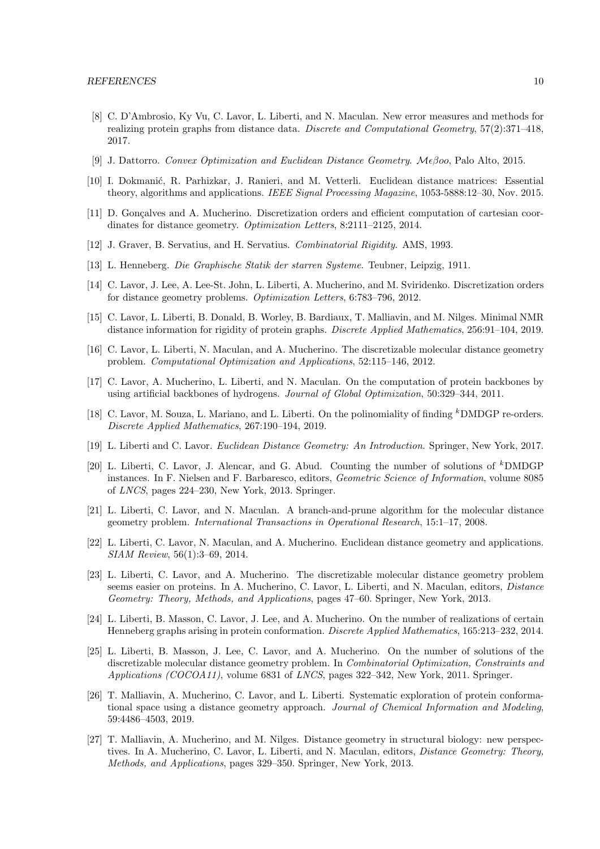- <span id="page-9-17"></span>[8] C. D'Ambrosio, Ky Vu, C. Lavor, L. Liberti, and N. Maculan. New error measures and methods for realizing protein graphs from distance data. Discrete and Computational Geometry, 57(2):371–418, 2017.
- <span id="page-9-4"></span>[9] J. Dattorro. Convex Optimization and Euclidean Distance Geometry. Mεβοο, Palo Alto, 2015.
- <span id="page-9-5"></span>[10] I. Dokmanić, R. Parhizkar, J. Ranieri, and M. Vetterli. Euclidean distance matrices: Essential theory, algorithms and applications. IEEE Signal Processing Magazine, 1053-5888:12-30, Nov. 2015.
- <span id="page-9-11"></span>[11] D. Gonçalves and A. Mucherino. Discretization orders and efficient computation of cartesian coordinates for distance geometry. Optimization Letters, 8:2111–2125, 2014.
- <span id="page-9-18"></span>[12] J. Graver, B. Servatius, and H. Servatius. Combinatorial Rigidity. AMS, 1993.
- <span id="page-9-3"></span>[13] L. Henneberg. Die Graphische Statik der starren Systeme. Teubner, Leipzig, 1911.
- <span id="page-9-19"></span>[14] C. Lavor, J. Lee, A. Lee-St. John, L. Liberti, A. Mucherino, and M. Sviridenko. Discretization orders for distance geometry problems. Optimization Letters, 6:783–796, 2012.
- <span id="page-9-8"></span>[15] C. Lavor, L. Liberti, B. Donald, B. Worley, B. Bardiaux, T. Malliavin, and M. Nilges. Minimal NMR distance information for rigidity of protein graphs. Discrete Applied Mathematics, 256:91–104, 2019.
- <span id="page-9-6"></span>[16] C. Lavor, L. Liberti, N. Maculan, and A. Mucherino. The discretizable molecular distance geometry problem. Computational Optimization and Applications, 52:115–146, 2012.
- <span id="page-9-7"></span>[17] C. Lavor, A. Mucherino, L. Liberti, and N. Maculan. On the computation of protein backbones by using artificial backbones of hydrogens. Journal of Global Optimization, 50:329–344, 2011.
- <span id="page-9-9"></span>[18] C. Lavor, M. Souza, L. Mariano, and L. Liberti. On the polinomiality of finding <sup>k</sup>DMDGP re-orders. Discrete Applied Mathematics, 267:190–194, 2019.
- <span id="page-9-0"></span>[19] L. Liberti and C. Lavor. Euclidean Distance Geometry: An Introduction. Springer, New York, 2017.
- <span id="page-9-16"></span>[20] L. Liberti, C. Lavor, J. Alencar, and G. Abud. Counting the number of solutions of <sup>k</sup>DMDGP instances. In F. Nielsen and F. Barbaresco, editors, Geometric Science of Information, volume 8085 of LNCS, pages 224–230, New York, 2013. Springer.
- <span id="page-9-10"></span>[21] L. Liberti, C. Lavor, and N. Maculan. A branch-and-prune algorithm for the molecular distance geometry problem. International Transactions in Operational Research, 15:1–17, 2008.
- <span id="page-9-2"></span>[22] L. Liberti, C. Lavor, N. Maculan, and A. Mucherino. Euclidean distance geometry and applications. SIAM Review, 56(1):3–69, 2014.
- <span id="page-9-15"></span>[23] L. Liberti, C. Lavor, and A. Mucherino. The discretizable molecular distance geometry problem seems easier on proteins. In A. Mucherino, C. Lavor, L. Liberti, and N. Maculan, editors, *Distance* Geometry: Theory, Methods, and Applications, pages 47–60. Springer, New York, 2013.
- <span id="page-9-14"></span>[24] L. Liberti, B. Masson, C. Lavor, J. Lee, and A. Mucherino. On the number of realizations of certain Henneberg graphs arising in protein conformation. Discrete Applied Mathematics, 165:213–232, 2014.
- <span id="page-9-13"></span>[25] L. Liberti, B. Masson, J. Lee, C. Lavor, and A. Mucherino. On the number of solutions of the discretizable molecular distance geometry problem. In Combinatorial Optimization, Constraints and Applications (COCOA11), volume 6831 of LNCS, pages 322–342, New York, 2011. Springer.
- <span id="page-9-12"></span>[26] T. Malliavin, A. Mucherino, C. Lavor, and L. Liberti. Systematic exploration of protein conformational space using a distance geometry approach. Journal of Chemical Information and Modeling, 59:4486–4503, 2019.
- <span id="page-9-1"></span>[27] T. Malliavin, A. Mucherino, and M. Nilges. Distance geometry in structural biology: new perspectives. In A. Mucherino, C. Lavor, L. Liberti, and N. Maculan, editors, Distance Geometry: Theory, Methods, and Applications, pages 329–350. Springer, New York, 2013.